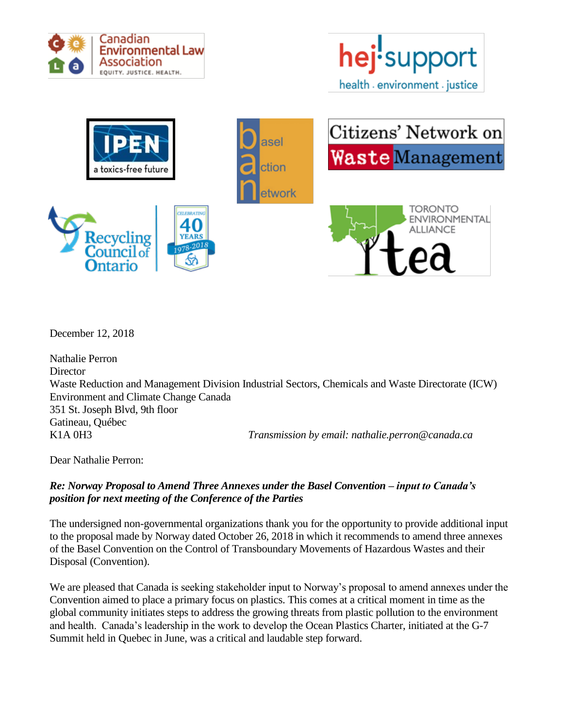





December 12, 2018

Nathalie Perron **Director** Waste Reduction and Management Division Industrial Sectors, Chemicals and Waste Directorate (ICW) Environment and Climate Change Canada 351 St. Joseph Blvd, 9th floor Gatineau, Québec K1A 0H3 *Transmission by email: nathalie.perron@canada.ca*

Dear Nathalie Perron:

## *Re: Norway Proposal to Amend Three Annexes under the Basel Convention – input to Canada's position for next meeting of the Conference of the Parties*

The undersigned non-governmental organizations thank you for the opportunity to provide additional input to the proposal made by Norway dated October 26, 2018 in which it recommends to amend three annexes of the Basel Convention on the Control of Transboundary Movements of Hazardous Wastes and their Disposal (Convention).

We are pleased that Canada is seeking stakeholder input to Norway's proposal to amend annexes under the Convention aimed to place a primary focus on plastics. This comes at a critical moment in time as the global community initiates steps to address the growing threats from plastic pollution to the environment and health. Canada's leadership in the work to develop the Ocean Plastics Charter, initiated at the G-7 Summit held in Quebec in June, was a critical and laudable step forward.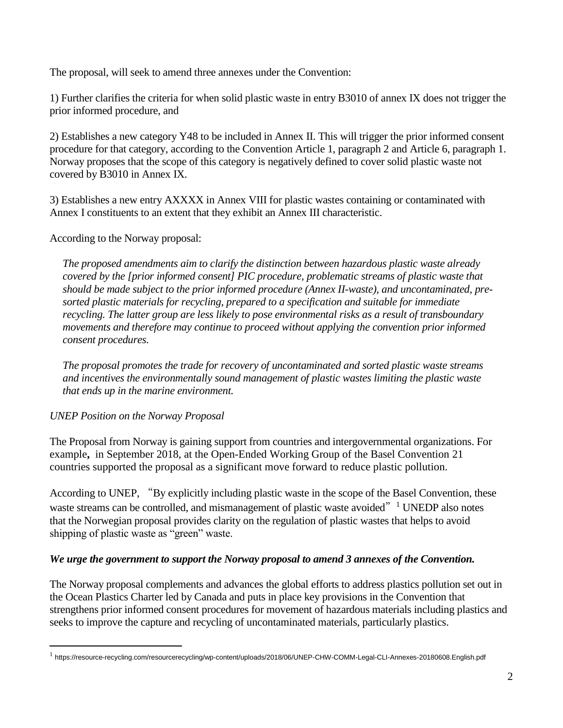The proposal, will seek to amend three annexes under the Convention:

1) Further clarifies the criteria for when solid plastic waste in entry B3010 of annex IX does not trigger the prior informed procedure, and

2) Establishes a new category Y48 to be included in Annex II. This will trigger the prior informed consent procedure for that category, according to the Convention Article 1, paragraph 2 and Article 6, paragraph 1. Norway proposes that the scope of this category is negatively defined to cover solid plastic waste not covered by B3010 in Annex IX.

3) Establishes a new entry AXXXX in Annex VIII for plastic wastes containing or contaminated with Annex I constituents to an extent that they exhibit an Annex III characteristic.

According to the Norway proposal:

*The proposed amendments aim to clarify the distinction between hazardous plastic waste already covered by the [prior informed consent] PIC procedure, problematic streams of plastic waste that should be made subject to the prior informed procedure (Annex II-waste), and uncontaminated, presorted plastic materials for recycling, prepared to a specification and suitable for immediate recycling. The latter group are less likely to pose environmental risks as a result of transboundary movements and therefore may continue to proceed without applying the convention prior informed consent procedures.*

*The proposal promotes the trade for recovery of uncontaminated and sorted plastic waste streams and incentives the environmentally sound management of plastic wastes limiting the plastic waste that ends up in the marine environment.*

### *UNEP Position on the Norway Proposal*

 $\overline{a}$ 

The Proposal from Norway is gaining support from countries and intergovernmental organizations. For example**,** in September 2018, at the [Open-Ended Working Group of the Basel Convention](http://www.basel.int/TheConvention/OpenendedWorkingGroup(OEWG)/Meetings/OEWG11/Overview/tabid/6258/Default.aspx) 21 countries supported the proposal as a significant move forward to reduce plastic pollution.

According to UNEP, "By explicitly including plastic waste in the scope of the Basel Convention, these waste streams can be controlled, and mismanagement of plastic waste avoided"  $1$  UNEDP also notes that the Norwegian proposal provides clarity on the regulation of plastic wastes that helps to avoid shipping of plastic waste as "green" waste.

# *We urge the government to support the Norway proposal to amend 3 annexes of the Convention.*

The Norway proposal complements and advances the global efforts to address plastics pollution set out in the Ocean Plastics Charter led by Canada and puts in place key provisions in the Convention that strengthens prior informed consent procedures for movement of hazardous materials including plastics and seeks to improve the capture and recycling of uncontaminated materials, particularly plastics.

<sup>&</sup>lt;sup>1</sup> https://resource-recycling.com/resourcerecycling/wp-content/uploads/2018/06/UNEP-CHW-COMM-Legal-CLI-Annexes-20180608.English.pdf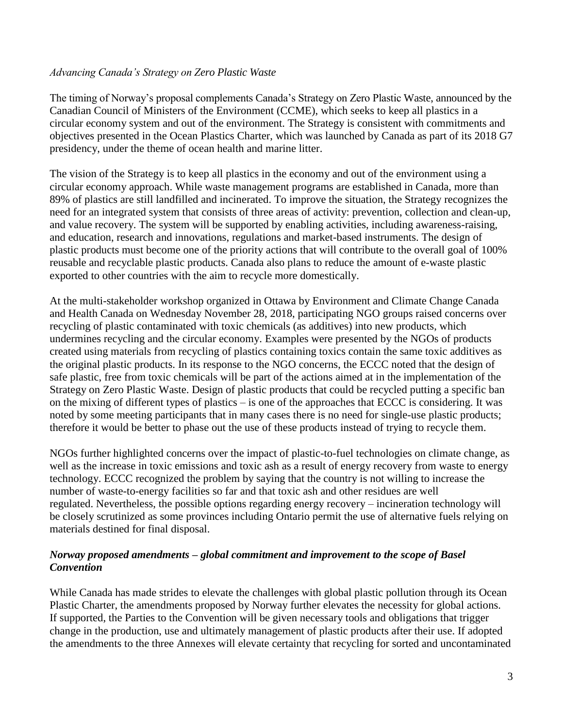#### *Advancing Canada's Strategy on Zero Plastic Waste*

The timing of Norway's proposal complements Canada's Strategy on Zero Plastic Waste, announced by the Canadian Council of Ministers of the Environment (CCME), which seeks to keep all plastics in a circular economy system and out of the environment. The Strategy is consistent with commitments and objectives presented in the Ocean Plastics [Charter,](https://g7.gc.ca/wp-content/uploads/2018/06/OceanPlasticsCharter.pdf) which was launched by Canada as part of its 2018 G7 presidency, under the theme of ocean health and marine litter.

The vision of the Strategy is to keep all plastics in the economy and out of the environment using a circular economy approach. While waste management programs are established in Canada, more than 89% of plastics are still landfilled and incinerated. To improve the situation, the Strategy recognizes the need for an integrated system that consists of three areas of activity: prevention, collection and clean-up, and value recovery. The system will be supported by enabling activities, including awareness-raising, and education, research and innovations, regulations and market-based instruments. The design of plastic products must become one of the priority actions that will contribute to the overall goal of 100% reusable and recyclable plastic products. Canada also plans to reduce the amount of e-waste plastic exported to other countries with the aim to recycle more domestically.

At the multi-stakeholder workshop organized in Ottawa by Environment and Climate Change Canada and Health Canada on Wednesday November 28, 2018, participating NGO groups raised concerns over recycling of plastic contaminated with toxic chemicals (as additives) into new products, which undermines recycling and the circular economy. Examples were presented by the NGOs of products created using materials from recycling of plastics containing toxics contain the same toxic additives as the original plastic products. In its response to the NGO concerns, the ECCC noted that the design of safe plastic, free from toxic chemicals will be part of the actions aimed at in the implementation of the Strategy on Zero Plastic Waste. Design of plastic products that could be recycled putting a specific ban on the mixing of different types of plastics – is one of the approaches that ECCC is considering. It was noted by some meeting participants that in many cases there is no need for single-use plastic products; therefore it would be better to phase out the use of these products instead of trying to recycle them.

NGOs further highlighted concerns over the impact of plastic-to-fuel technologies on climate change, as well as the increase in toxic emissions and toxic ash as a result of energy recovery from waste to energy technology. ECCC recognized the problem by saying that the country is not willing to increase the number of waste-to-energy facilities so far and that toxic ash and other residues are well regulated. Nevertheless, the possible options regarding energy recovery – incineration technology will be closely scrutinized as some provinces including Ontario permit the use of alternative fuels relying on materials destined for final disposal.

### *Norway proposed amendments – global commitment and improvement to the scope of Basel Convention*

While Canada has made strides to elevate the challenges with global plastic pollution through its Ocean Plastic Charter, the amendments proposed by Norway further elevates the necessity for global actions. If supported, the Parties to the Convention will be given necessary tools and obligations that trigger change in the production, use and ultimately management of plastic products after their use. If adopted the amendments to the three Annexes will elevate certainty that recycling for sorted and uncontaminated